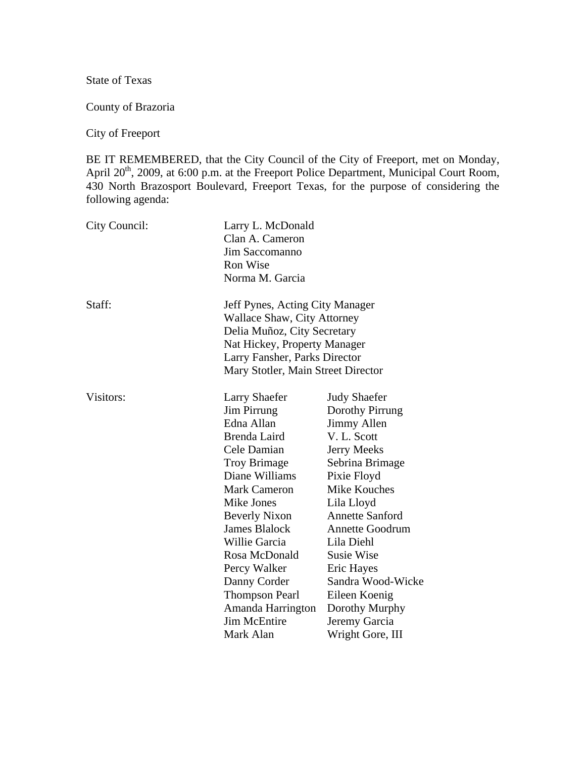State of Texas

County of Brazoria

City of Freeport

BE IT REMEMBERED, that the City Council of the City of Freeport, met on Monday, April 20<sup>th</sup>, 2009, at 6:00 p.m. at the Freeport Police Department, Municipal Court Room, 430 North Brazosport Boulevard, Freeport Texas, for the purpose of considering the following agenda:

| City Council: | Larry L. McDonald<br>Clan A. Cameron<br>Jim Saccomanno<br>Ron Wise<br>Norma M. Garcia                                                                                                                                                                                                                                                                               |                                                                                                                                                                                                                                                                                                                                   |
|---------------|---------------------------------------------------------------------------------------------------------------------------------------------------------------------------------------------------------------------------------------------------------------------------------------------------------------------------------------------------------------------|-----------------------------------------------------------------------------------------------------------------------------------------------------------------------------------------------------------------------------------------------------------------------------------------------------------------------------------|
| Staff:        | Jeff Pynes, Acting City Manager<br>Wallace Shaw, City Attorney<br>Delia Muñoz, City Secretary<br>Nat Hickey, Property Manager<br>Larry Fansher, Parks Director<br>Mary Stotler, Main Street Director                                                                                                                                                                |                                                                                                                                                                                                                                                                                                                                   |
| Visitors:     | <b>Larry Shaefer</b><br><b>Jim Pirrung</b><br>Edna Allan<br>Brenda Laird<br>Cele Damian<br><b>Troy Brimage</b><br>Diane Williams<br><b>Mark Cameron</b><br>Mike Jones<br><b>Beverly Nixon</b><br><b>James Blalock</b><br><b>Willie Garcia</b><br>Rosa McDonald<br>Percy Walker<br>Danny Corder<br><b>Thompson Pearl</b><br>Amanda Harrington<br><b>Jim McEntire</b> | <b>Judy Shaefer</b><br>Dorothy Pirrung<br>Jimmy Allen<br>V. L. Scott<br>Jerry Meeks<br>Sebrina Brimage<br>Pixie Floyd<br>Mike Kouches<br>Lila Lloyd<br><b>Annette Sanford</b><br><b>Annette Goodrum</b><br>Lila Diehl<br><b>Susie Wise</b><br>Eric Hayes<br>Sandra Wood-Wicke<br>Eileen Koenig<br>Dorothy Murphy<br>Jeremy Garcia |
|               | Mark Alan                                                                                                                                                                                                                                                                                                                                                           | Wright Gore, III                                                                                                                                                                                                                                                                                                                  |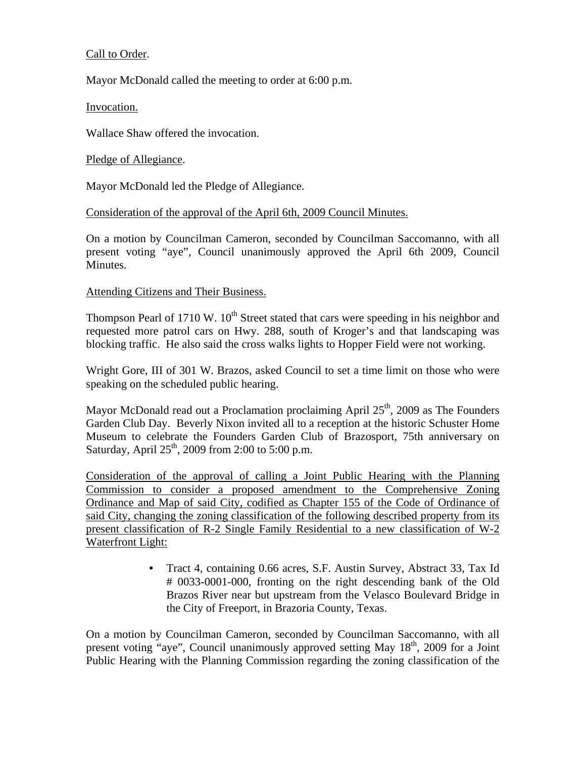## Call to Order.

Mayor McDonald called the meeting to order at 6:00 p.m.

Invocation.

Wallace Shaw offered the invocation.

Pledge of Allegiance.

Mayor McDonald led the Pledge of Allegiance.

### Consideration of the approval of the April 6th, 2009 Council Minutes.

On a motion by Councilman Cameron, seconded by Councilman Saccomanno, with all present voting "aye", Council unanimously approved the April 6th 2009, Council Minutes.

### Attending Citizens and Their Business.

Thompson Pearl of 1710 W.  $10<sup>th</sup>$  Street stated that cars were speeding in his neighbor and requested more patrol cars on Hwy. 288, south of Kroger's and that landscaping was blocking traffic. He also said the cross walks lights to Hopper Field were not working.

Wright Gore, III of 301 W. Brazos, asked Council to set a time limit on those who were speaking on the scheduled public hearing.

Mayor McDonald read out a Proclamation proclaiming April  $25<sup>th</sup>$ , 2009 as The Founders Garden Club Day. Beverly Nixon invited all to a reception at the historic Schuster Home Museum to celebrate the Founders Garden Club of Brazosport, 75th anniversary on Saturday, April  $25<sup>th</sup>$ , 2009 from 2:00 to 5:00 p.m.

Consideration of the approval of calling a Joint Public Hearing with the Planning Commission to consider a proposed amendment to the Comprehensive Zoning Ordinance and Map of said City, codified as Chapter 155 of the Code of Ordinance of said City, changing the zoning classification of the following described property from its present classification of R-2 Single Family Residential to a new classification of W-2 Waterfront Light:

> • Tract 4, containing 0.66 acres, S.F. Austin Survey, Abstract 33, Tax Id # 0033-0001-000, fronting on the right descending bank of the Old Brazos River near but upstream from the Velasco Boulevard Bridge in the City of Freeport, in Brazoria County, Texas.

On a motion by Councilman Cameron, seconded by Councilman Saccomanno, with all present voting "aye", Council unanimously approved setting May  $18<sup>th</sup>$ , 2009 for a Joint Public Hearing with the Planning Commission regarding the zoning classification of the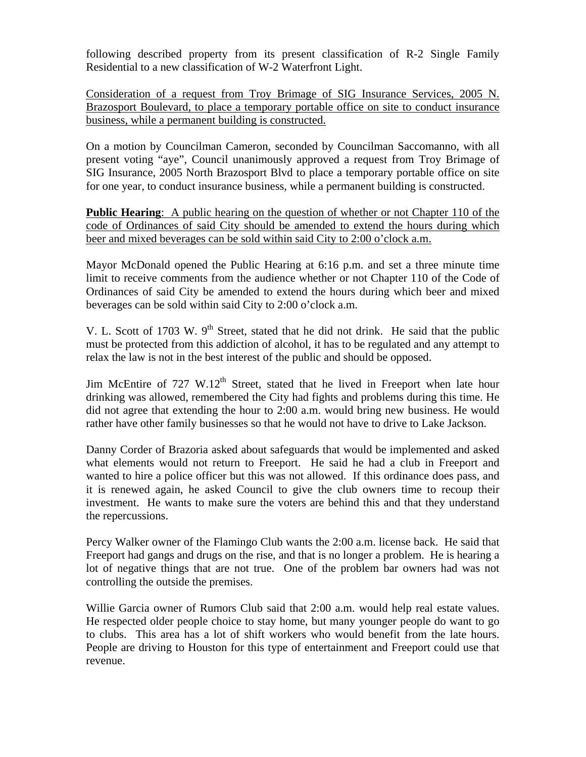following described property from its present classification of R-2 Single Family Residential to a new classification of W-2 Waterfront Light.

Consideration of a request from Troy Brimage of SIG Insurance Services, 2005 N. Brazosport Boulevard, to place a temporary portable office on site to conduct insurance business, while a permanent building is constructed.

On a motion by Councilman Cameron, seconded by Councilman Saccomanno, with all present voting "aye", Council unanimously approved a request from Troy Brimage of SIG Insurance, 2005 North Brazosport Blvd to place a temporary portable office on site for one year, to conduct insurance business, while a permanent building is constructed.

**Public Hearing**: A public hearing on the question of whether or not Chapter 110 of the code of Ordinances of said City should be amended to extend the hours during which beer and mixed beverages can be sold within said City to 2:00 o'clock a.m.

Mayor McDonald opened the Public Hearing at 6:16 p.m. and set a three minute time limit to receive comments from the audience whether or not Chapter 110 of the Code of Ordinances of said City be amended to extend the hours during which beer and mixed beverages can be sold within said City to 2:00 o'clock a.m.

V. L. Scott of 1703 W. 9<sup>th</sup> Street, stated that he did not drink. He said that the public must be protected from this addiction of alcohol, it has to be regulated and any attempt to relax the law is not in the best interest of the public and should be opposed.

Jim McEntire of  $727 \text{ W}.12^{\text{th}}$  Street, stated that he lived in Freeport when late hour drinking was allowed, remembered the City had fights and problems during this time. He did not agree that extending the hour to 2:00 a.m. would bring new business. He would rather have other family businesses so that he would not have to drive to Lake Jackson.

Danny Corder of Brazoria asked about safeguards that would be implemented and asked what elements would not return to Freeport. He said he had a club in Freeport and wanted to hire a police officer but this was not allowed. If this ordinance does pass, and it is renewed again, he asked Council to give the club owners time to recoup their investment. He wants to make sure the voters are behind this and that they understand the repercussions.

Percy Walker owner of the Flamingo Club wants the 2:00 a.m. license back. He said that Freeport had gangs and drugs on the rise, and that is no longer a problem. He is hearing a lot of negative things that are not true. One of the problem bar owners had was not controlling the outside the premises.

Willie Garcia owner of Rumors Club said that 2:00 a.m. would help real estate values. He respected older people choice to stay home, but many younger people do want to go to clubs. This area has a lot of shift workers who would benefit from the late hours. People are driving to Houston for this type of entertainment and Freeport could use that revenue.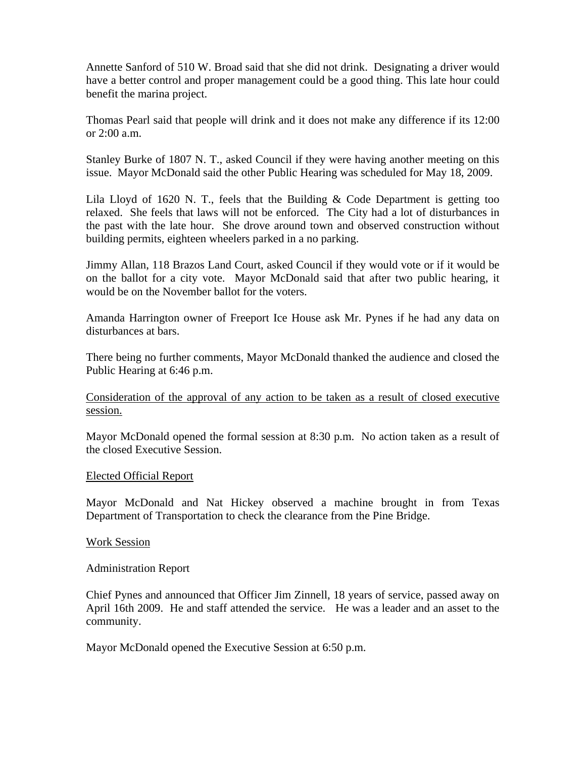Annette Sanford of 510 W. Broad said that she did not drink. Designating a driver would have a better control and proper management could be a good thing. This late hour could benefit the marina project.

Thomas Pearl said that people will drink and it does not make any difference if its 12:00 or 2:00 a.m.

Stanley Burke of 1807 N. T., asked Council if they were having another meeting on this issue. Mayor McDonald said the other Public Hearing was scheduled for May 18, 2009.

Lila Lloyd of 1620 N. T., feels that the Building  $& Code Department is getting too$ relaxed. She feels that laws will not be enforced. The City had a lot of disturbances in the past with the late hour. She drove around town and observed construction without building permits, eighteen wheelers parked in a no parking.

Jimmy Allan, 118 Brazos Land Court, asked Council if they would vote or if it would be on the ballot for a city vote. Mayor McDonald said that after two public hearing, it would be on the November ballot for the voters.

Amanda Harrington owner of Freeport Ice House ask Mr. Pynes if he had any data on disturbances at bars.

There being no further comments, Mayor McDonald thanked the audience and closed the Public Hearing at 6:46 p.m.

Consideration of the approval of any action to be taken as a result of closed executive session.

Mayor McDonald opened the formal session at 8:30 p.m. No action taken as a result of the closed Executive Session.

### Elected Official Report

Mayor McDonald and Nat Hickey observed a machine brought in from Texas Department of Transportation to check the clearance from the Pine Bridge.

#### Work Session

Administration Report

Chief Pynes and announced that Officer Jim Zinnell, 18 years of service, passed away on April 16th 2009. He and staff attended the service. He was a leader and an asset to the community.

Mayor McDonald opened the Executive Session at 6:50 p.m.